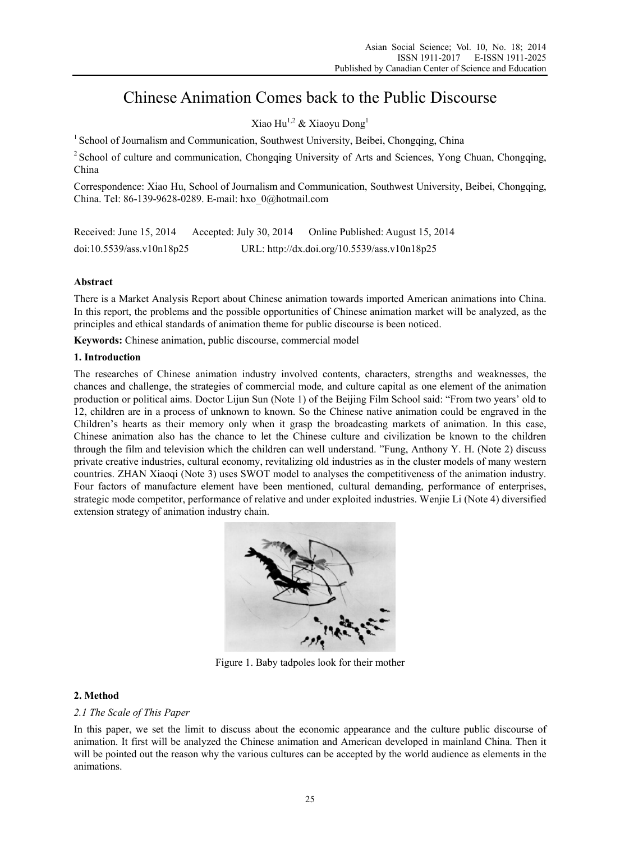# Chinese Animation Comes back to the Public Discourse

Xiao Hu<sup>1,2</sup> & Xiaoyu Dong<sup>1</sup>

<sup>1</sup> School of Journalism and Communication, Southwest University, Beibei, Chongqing, China

<sup>2</sup> School of culture and communication, Chongqing University of Arts and Sciences, Yong Chuan, Chongqing, China

Correspondence: Xiao Hu, School of Journalism and Communication, Southwest University, Beibei, Chongqing, China. Tel: 86-139-9628-0289. E-mail: hxo\_0@hotmail.com

| Received: June 15, 2014   | Accepted: July 30, 2014 | Online Published: August 15, 2014            |
|---------------------------|-------------------------|----------------------------------------------|
| doi:10.5539/ass.v10n18p25 |                         | URL: http://dx.doi.org/10.5539/ass.v10n18p25 |

# **Abstract**

There is a Market Analysis Report about Chinese animation towards imported American animations into China. In this report, the problems and the possible opportunities of Chinese animation market will be analyzed, as the principles and ethical standards of animation theme for public discourse is been noticed.

**Keywords:** Chinese animation, public discourse, commercial model

## **1. Introduction**

The researches of Chinese animation industry involved contents, characters, strengths and weaknesses, the chances and challenge, the strategies of commercial mode, and culture capital as one element of the animation production or political aims. Doctor Lijun Sun (Note 1) of the Beijing Film School said: "From two years' old to 12, children are in a process of unknown to known. So the Chinese native animation could be engraved in the Children's hearts as their memory only when it grasp the broadcasting markets of animation. In this case, Chinese animation also has the chance to let the Chinese culture and civilization be known to the children through the film and television which the children can well understand. "Fung, Anthony Y. H. (Note 2) discuss private creative industries, cultural economy, revitalizing old industries as in the cluster models of many western countries. ZHAN Xiaoqi (Note 3) uses SWOT model to analyses the competitiveness of the animation industry. Four factors of manufacture element have been mentioned, cultural demanding, performance of enterprises, strategic mode competitor, performance of relative and under exploited industries. Wenjie Li (Note 4) diversified extension strategy of animation industry chain.



Figure 1. Baby tadpoles look for their mother

# **2. Method**

#### *2.1 The Scale of This Paper*

In this paper, we set the limit to discuss about the economic appearance and the culture public discourse of animation. It first will be analyzed the Chinese animation and American developed in mainland China. Then it will be pointed out the reason why the various cultures can be accepted by the world audience as elements in the animations.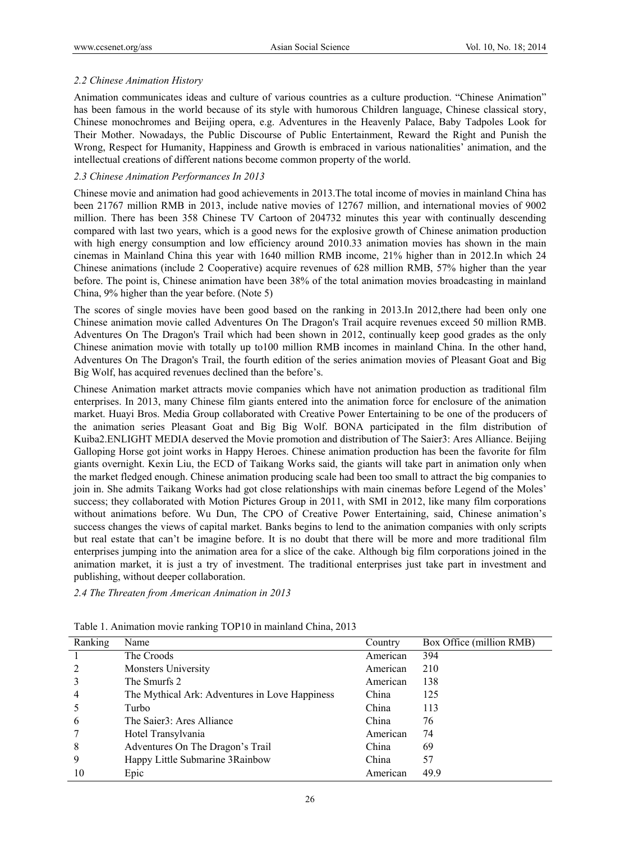## *2.2 Chinese Animation History*

Animation communicates ideas and culture of various countries as a culture production. "Chinese Animation" has been famous in the world because of its style with humorous Children language, Chinese classical story, Chinese monochromes and Beijing opera, e.g. Adventures in the Heavenly Palace, Baby Tadpoles Look for Their Mother. Nowadays, the Public Discourse of Public Entertainment, Reward the Right and Punish the Wrong, Respect for Humanity, Happiness and Growth is embraced in various nationalities' animation, and the intellectual creations of different nations become common property of the world.

## *2.3 Chinese Animation Performances In 2013*

Chinese movie and animation had good achievements in 2013.The total income of movies in mainland China has been 21767 million RMB in 2013, include native movies of 12767 million, and international movies of 9002 million. There has been 358 Chinese TV Cartoon of 204732 minutes this year with continually descending compared with last two years, which is a good news for the explosive growth of Chinese animation production with high energy consumption and low efficiency around 2010.33 animation movies has shown in the main cinemas in Mainland China this year with 1640 million RMB income, 21% higher than in 2012.In which 24 Chinese animations (include 2 Cooperative) acquire revenues of 628 million RMB, 57% higher than the year before. The point is, Chinese animation have been 38% of the total animation movies broadcasting in mainland China, 9% higher than the year before. (Note 5)

The scores of single movies have been good based on the ranking in 2013.In 2012, there had been only one Chinese animation movie called Adventures On The Dragon's Trail acquire revenues exceed 50 million RMB. Adventures On The Dragon's Trail which had been shown in 2012, continually keep good grades as the only Chinese animation movie with totally up to100 million RMB incomes in mainland China. In the other hand, Adventures On The Dragon's Trail, the fourth edition of the series animation movies of Pleasant Goat and Big Big Wolf, has acquired revenues declined than the before's.

Chinese Animation market attracts movie companies which have not animation production as traditional film enterprises. In 2013, many Chinese film giants entered into the animation force for enclosure of the animation market. Huayi Bros. Media Group collaborated with Creative Power Entertaining to be one of the producers of the animation series Pleasant Goat and Big Big Wolf. BONA participated in the film distribution of Kuiba2.ENLIGHT MEDIA deserved the Movie promotion and distribution of The Saier3: Ares Alliance. Beijing Galloping Horse got joint works in Happy Heroes. Chinese animation production has been the favorite for film giants overnight. Kexin Liu, the ECD of Taikang Works said, the giants will take part in animation only when the market fledged enough. Chinese animation producing scale had been too small to attract the big companies to join in. She admits Taikang Works had got close relationships with main cinemas before Legend of the Moles' success; they collaborated with Motion Pictures Group in 2011, with SMI in 2012, like many film corporations without animations before. Wu Dun, The CPO of Creative Power Entertaining, said, Chinese animation's success changes the views of capital market. Banks begins to lend to the animation companies with only scripts but real estate that can't be imagine before. It is no doubt that there will be more and more traditional film enterprises jumping into the animation area for a slice of the cake. Although big film corporations joined in the animation market, it is just a try of investment. The traditional enterprises just take part in investment and publishing, without deeper collaboration.

*2.4 The Threaten from American Animation in 2013* 

| Ranking | Name                                           | Country  | Box Office (million RMB) |
|---------|------------------------------------------------|----------|--------------------------|
|         | The Croods                                     | American | 394                      |
|         | <b>Monsters University</b>                     | American | 210                      |
|         | The Smurfs 2                                   | American | 138                      |
| 4       | The Mythical Ark: Adventures in Love Happiness | China    | 125                      |
|         | Turbo                                          | China    | 113                      |
| 6       | The Saier3: Ares Alliance                      | China    | 76                       |
|         | Hotel Transylvania                             | American | 74                       |
| 8       | Adventures On The Dragon's Trail               | China    | 69                       |
| 9       | Happy Little Submarine 3 Rainbow               | China    | 57                       |
| 10      | Epic                                           | American | 49.9                     |

Table 1. Animation movie ranking TOP10 in mainland China, 2013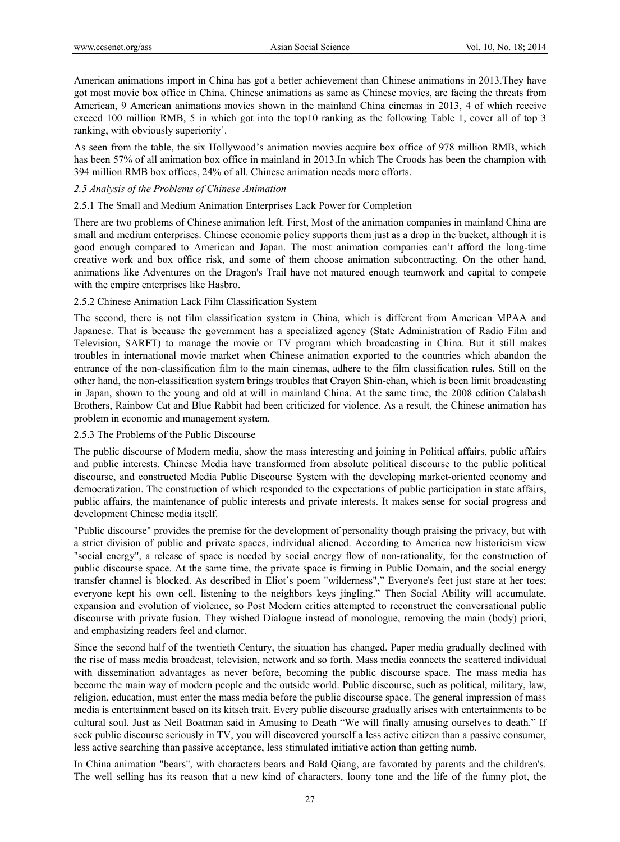American animations import in China has got a better achievement than Chinese animations in 2013.They have got most movie box office in China. Chinese animations as same as Chinese movies, are facing the threats from American, 9 American animations movies shown in the mainland China cinemas in 2013, 4 of which receive exceed 100 million RMB, 5 in which got into the top10 ranking as the following Table 1, cover all of top 3 ranking, with obviously superiority'.

As seen from the table, the six Hollywood's animation movies acquire box office of 978 million RMB, which has been 57% of all animation box office in mainland in 2013.In which The Croods has been the champion with 394 million RMB box offices, 24% of all. Chinese animation needs more efforts.

#### *2.5 Analysis of the Problems of Chinese Animation*

#### 2.5.1 The Small and Medium Animation Enterprises Lack Power for Completion

There are two problems of Chinese animation left. First, Most of the animation companies in mainland China are small and medium enterprises. Chinese economic policy supports them just as a drop in the bucket, although it is good enough compared to American and Japan. The most animation companies can't afford the long-time creative work and box office risk, and some of them choose animation subcontracting. On the other hand, animations like Adventures on the Dragon's Trail have not matured enough teamwork and capital to compete with the empire enterprises like Hasbro.

## 2.5.2 Chinese Animation Lack Film Classification System

The second, there is not film classification system in China, which is different from American MPAA and Japanese. That is because the government has a specialized agency (State Administration of Radio Film and Television, SARFT) to manage the movie or TV program which broadcasting in China. But it still makes troubles in international movie market when Chinese animation exported to the countries which abandon the entrance of the non-classification film to the main cinemas, adhere to the film classification rules. Still on the other hand, the non-classification system brings troubles that Crayon Shin-chan, which is been limit broadcasting in Japan, shown to the young and old at will in mainland China. At the same time, the 2008 edition Calabash Brothers, Rainbow Cat and Blue Rabbit had been criticized for violence. As a result, the Chinese animation has problem in economic and management system.

#### 2.5.3 The Problems of the Public Discourse

The public discourse of Modern media, show the mass interesting and joining in Political affairs, public affairs and public interests. Chinese Media have transformed from absolute political discourse to the public political discourse, and constructed Media Public Discourse System with the developing market-oriented economy and democratization. The construction of which responded to the expectations of public participation in state affairs, public affairs, the maintenance of public interests and private interests. It makes sense for social progress and development Chinese media itself.

"Public discourse" provides the premise for the development of personality though praising the privacy, but with a strict division of public and private spaces, individual aliened. According to America new historicism view "social energy", a release of space is needed by social energy flow of non-rationality, for the construction of public discourse space. At the same time, the private space is firming in Public Domain, and the social energy transfer channel is blocked. As described in Eliot's poem "wilderness"," Everyone's feet just stare at her toes; everyone kept his own cell, listening to the neighbors keys jingling." Then Social Ability will accumulate, expansion and evolution of violence, so Post Modern critics attempted to reconstruct the conversational public discourse with private fusion. They wished Dialogue instead of monologue, removing the main (body) priori, and emphasizing readers feel and clamor.

Since the second half of the twentieth Century, the situation has changed. Paper media gradually declined with the rise of mass media broadcast, television, network and so forth. Mass media connects the scattered individual with dissemination advantages as never before, becoming the public discourse space. The mass media has become the main way of modern people and the outside world. Public discourse, such as political, military, law, religion, education, must enter the mass media before the public discourse space. The general impression of mass media is entertainment based on its kitsch trait. Every public discourse gradually arises with entertainments to be cultural soul. Just as Neil Boatman said in Amusing to Death "We will finally amusing ourselves to death." If seek public discourse seriously in TV, you will discovered yourself a less active citizen than a passive consumer, less active searching than passive acceptance, less stimulated initiative action than getting numb.

In China animation "bears", with characters bears and Bald Qiang, are favorated by parents and the children's. The well selling has its reason that a new kind of characters, loony tone and the life of the funny plot, the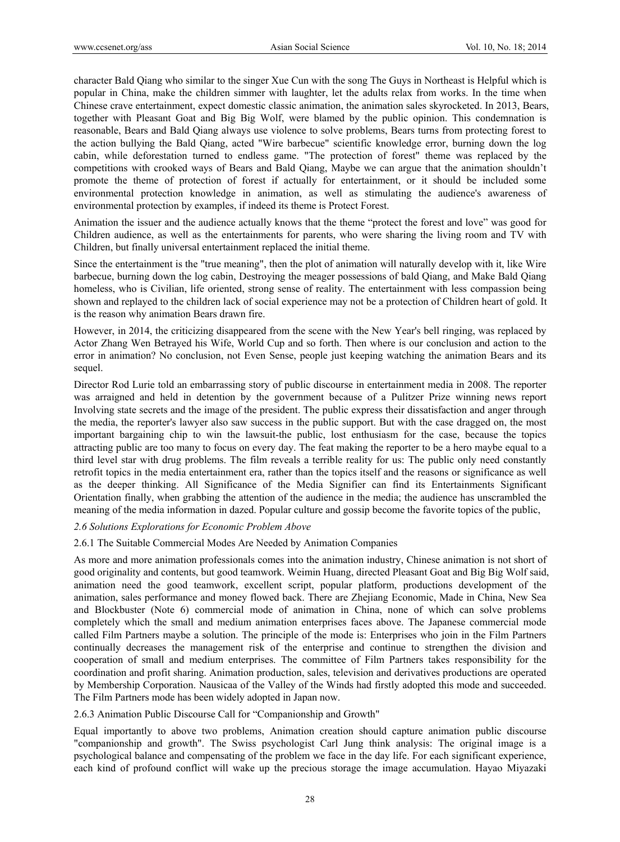character Bald Qiang who similar to the singer Xue Cun with the song The Guys in Northeast is Helpful which is popular in China, make the children simmer with laughter, let the adults relax from works. In the time when Chinese crave entertainment, expect domestic classic animation, the animation sales skyrocketed. In 2013, Bears, together with Pleasant Goat and Big Big Wolf, were blamed by the public opinion. This condemnation is reasonable, Bears and Bald Qiang always use violence to solve problems, Bears turns from protecting forest to the action bullying the Bald Qiang, acted "Wire barbecue" scientific knowledge error, burning down the log cabin, while deforestation turned to endless game. "The protection of forest" theme was replaced by the competitions with crooked ways of Bears and Bald Qiang, Maybe we can argue that the animation shouldn't promote the theme of protection of forest if actually for entertainment, or it should be included some environmental protection knowledge in animation, as well as stimulating the audience's awareness of environmental protection by examples, if indeed its theme is Protect Forest.

Animation the issuer and the audience actually knows that the theme "protect the forest and love" was good for Children audience, as well as the entertainments for parents, who were sharing the living room and TV with Children, but finally universal entertainment replaced the initial theme.

Since the entertainment is the "true meaning", then the plot of animation will naturally develop with it, like Wire barbecue, burning down the log cabin, Destroying the meager possessions of bald Qiang, and Make Bald Qiang homeless, who is Civilian, life oriented, strong sense of reality. The entertainment with less compassion being shown and replayed to the children lack of social experience may not be a protection of Children heart of gold. It is the reason why animation Bears drawn fire.

However, in 2014, the criticizing disappeared from the scene with the New Year's bell ringing, was replaced by Actor Zhang Wen Betrayed his Wife, World Cup and so forth. Then where is our conclusion and action to the error in animation? No conclusion, not Even Sense, people just keeping watching the animation Bears and its sequel.

Director Rod Lurie told an embarrassing story of public discourse in entertainment media in 2008. The reporter was arraigned and held in detention by the government because of a Pulitzer Prize winning news report Involving state secrets and the image of the president. The public express their dissatisfaction and anger through the media, the reporter's lawyer also saw success in the public support. But with the case dragged on, the most important bargaining chip to win the lawsuit-the public, lost enthusiasm for the case, because the topics attracting public are too many to focus on every day. The feat making the reporter to be a hero maybe equal to a third level star with drug problems. The film reveals a terrible reality for us: The public only need constantly retrofit topics in the media entertainment era, rather than the topics itself and the reasons or significance as well as the deeper thinking. All Significance of the Media Signifier can find its Entertainments Significant Orientation finally, when grabbing the attention of the audience in the media; the audience has unscrambled the meaning of the media information in dazed. Popular culture and gossip become the favorite topics of the public,

#### *2.6 Solutions Explorations for Economic Problem Above*

#### 2.6.1 The Suitable Commercial Modes Are Needed by Animation Companies

As more and more animation professionals comes into the animation industry, Chinese animation is not short of good originality and contents, but good teamwork. Weimin Huang, directed Pleasant Goat and Big Big Wolf said, animation need the good teamwork, excellent script, popular platform, productions development of the animation, sales performance and money flowed back. There are Zhejiang Economic, Made in China, New Sea and Blockbuster (Note 6) commercial mode of animation in China, none of which can solve problems completely which the small and medium animation enterprises faces above. The Japanese commercial mode called Film Partners maybe a solution. The principle of the mode is: Enterprises who join in the Film Partners continually decreases the management risk of the enterprise and continue to strengthen the division and cooperation of small and medium enterprises. The committee of Film Partners takes responsibility for the coordination and profit sharing. Animation production, sales, television and derivatives productions are operated by Membership Corporation. Nausicaa of the Valley of the Winds had firstly adopted this mode and succeeded. The Film Partners mode has been widely adopted in Japan now.

## 2.6.3 Animation Public Discourse Call for "Companionship and Growth"

Equal importantly to above two problems, Animation creation should capture animation public discourse "companionship and growth". The Swiss psychologist Carl Jung think analysis: The original image is a psychological balance and compensating of the problem we face in the day life. For each significant experience, each kind of profound conflict will wake up the precious storage the image accumulation. Hayao Miyazaki